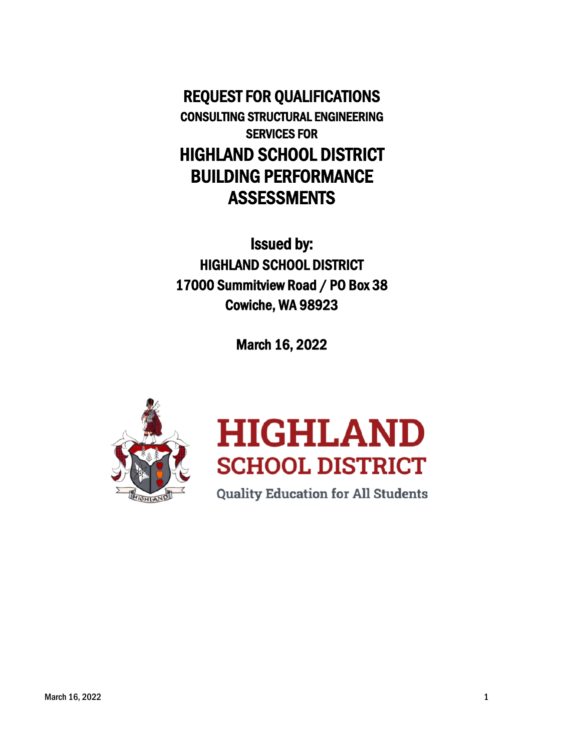REQUEST FOR QUALIFICATIONS CONSULTING STRUCTURAL ENGINEERING SERVICES FOR HIGHLAND SCHOOL DISTRICT BUILDING PERFORMANCE ASSESSMENTS

Issued by: HIGHLAND SCHOOL DISTRICT 17000 Summitview Road / PO Box 38 Cowiche, WA 98923

March 16, 2022





**Quality Education for All Students**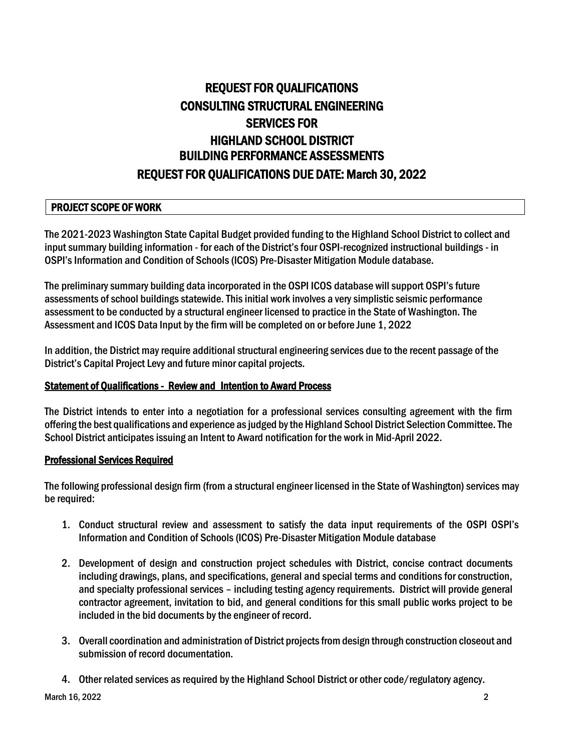# REQUEST FOR QUALIFICATIONS CONSULTING STRUCTURAL ENGINEERING SERVICES FOR HIGHLAND SCHOOL DISTRICT BUILDING PERFORMANCE ASSESSMENTS REQUEST FOR QUALIFICATIONS DUE DATE: March 30, 2022

## PROJECT SCOPE OF WORK

The 2021-2023 Washington State Capital Budget provided funding to the Highland School District to collect and input summary building information - for each of the District's four OSPI-recognized instructional buildings - in OSPI's Information and Condition of Schools (ICOS) Pre-Disaster Mitigation Module database.

The preliminary summary building data incorporated in the OSPI ICOS database will support OSPI's future assessments of school buildings statewide. This initial work involves a very simplistic seismic performance assessment to be conducted by a structural engineer licensed to practice in the State of Washington. The Assessment and ICOS Data Input by the firm will be completed on or before June 1, 2022

In addition, the District may require additional structural engineering services due to the recent passage of the District's Capital Project Levy and future minor capital projects.

#### Statement of Qualifications - Review and Intention to Award Process

The District intends to enter into a negotiation for a professional services consulting agreement with the firm offering the best qualifications and experience as judged by the Highland School District Selection Committee. The School District anticipates issuing an Intent to Award notification for the work in Mid-April 2022.

#### Professional Services Required

The following professional design firm (from a structural engineer licensed in the State of Washington) services may be required:

- 1. Conduct structural review and assessment to satisfy the data input requirements of the OSPI OSPI's Information and Condition of Schools (ICOS) Pre-Disaster Mitigation Module database
- 2. Development of design and construction project schedules with District, concise contract documents including drawings, plans, and specifications, general and special terms and conditions for construction, and specialty professional services – including testing agency requirements. District will provide general contractor agreement, invitation to bid, and general conditions for this small public works project to be included in the bid documents by the engineer of record.
- 3. Overall coordination and administration of District projectsfrom design through construction closeout and submission of record documentation.
- 4. Other related services as required by the Highland School District or other code/regulatory agency.